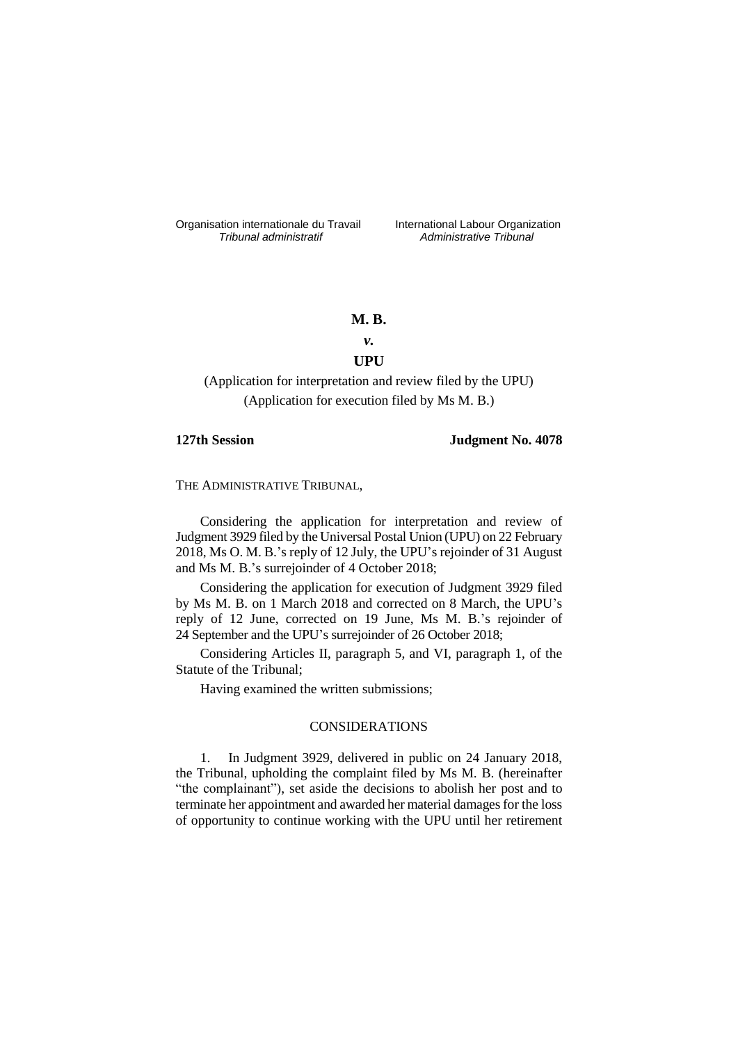Organisation internationale du Travail liternational Labour Organization<br> *Tribunal administratif Administrative Tribunal* 

*Tribunal administratif Administrative Tribunal*

# **M. B.**

# *v.* **UPU**

(Application for interpretation and review filed by the UPU) (Application for execution filed by Ms M. B.)

# **127th Session Judgment No. 4078**

THE ADMINISTRATIVE TRIBUNAL,

Considering the application for interpretation and review of Judgment 3929 filed by the Universal Postal Union (UPU) on 22 February 2018, Ms O. M. B.'s reply of 12 July, the UPU's rejoinder of 31 August and Ms M. B.'s surrejoinder of 4 October 2018;

Considering the application for execution of Judgment 3929 filed by Ms M. B. on 1 March 2018 and corrected on 8 March, the UPU's reply of 12 June, corrected on 19 June, Ms M. B.'s rejoinder of 24 September and the UPU's surrejoinder of 26 October 2018;

Considering Articles II, paragraph 5, and VI, paragraph 1, of the Statute of the Tribunal;

Having examined the written submissions;

# CONSIDERATIONS

1. In Judgment 3929, delivered in public on 24 January 2018, the Tribunal, upholding the complaint filed by Ms M. B. (hereinafter "the complainant"), set aside the decisions to abolish her post and to terminate her appointment and awarded her material damages for the loss of opportunity to continue working with the UPU until her retirement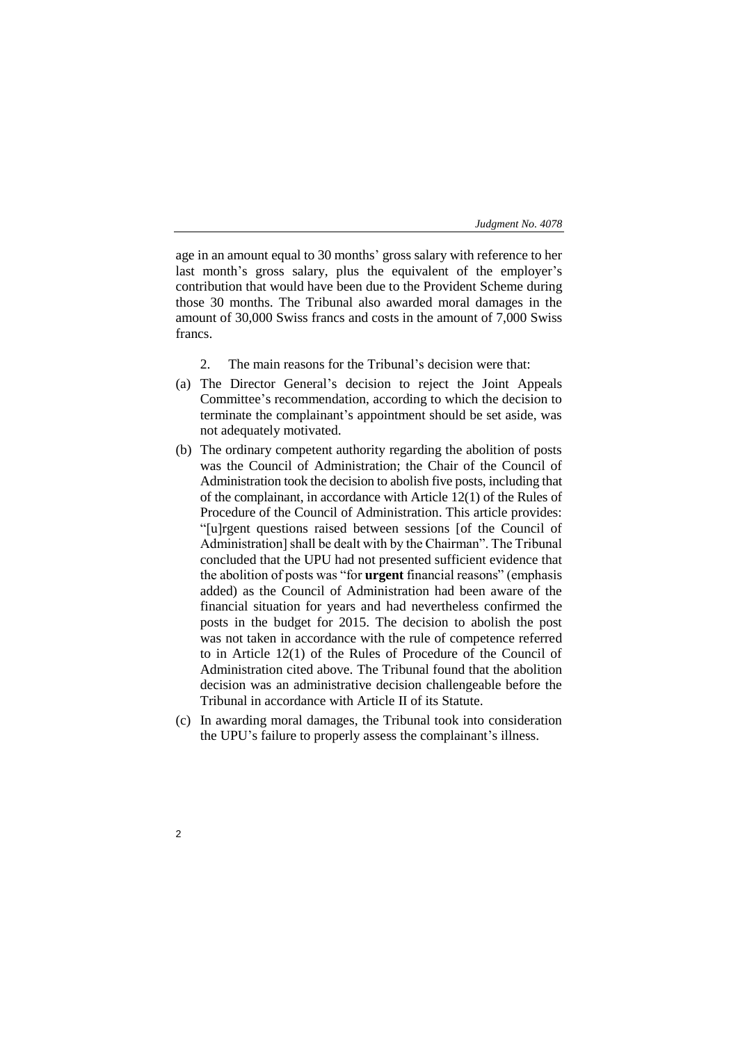age in an amount equal to 30 months' gross salary with reference to her last month's gross salary, plus the equivalent of the employer's contribution that would have been due to the Provident Scheme during those 30 months. The Tribunal also awarded moral damages in the amount of 30,000 Swiss francs and costs in the amount of 7,000 Swiss francs.

- 2. The main reasons for the Tribunal's decision were that:
- (a) The Director General's decision to reject the Joint Appeals Committee's recommendation, according to which the decision to terminate the complainant's appointment should be set aside, was not adequately motivated.
- (b) The ordinary competent authority regarding the abolition of posts was the Council of Administration; the Chair of the Council of Administration took the decision to abolish five posts, including that of the complainant, in accordance with Article 12(1) of the Rules of Procedure of the Council of Administration. This article provides: "[u]rgent questions raised between sessions [of the Council of Administration] shall be dealt with by the Chairman". The Tribunal concluded that the UPU had not presented sufficient evidence that the abolition of posts was "for **urgent** financial reasons" (emphasis added) as the Council of Administration had been aware of the financial situation for years and had nevertheless confirmed the posts in the budget for 2015. The decision to abolish the post was not taken in accordance with the rule of competence referred to in Article 12(1) of the Rules of Procedure of the Council of Administration cited above. The Tribunal found that the abolition decision was an administrative decision challengeable before the Tribunal in accordance with Article II of its Statute.
- (c) In awarding moral damages, the Tribunal took into consideration the UPU's failure to properly assess the complainant's illness.
- $\overline{2}$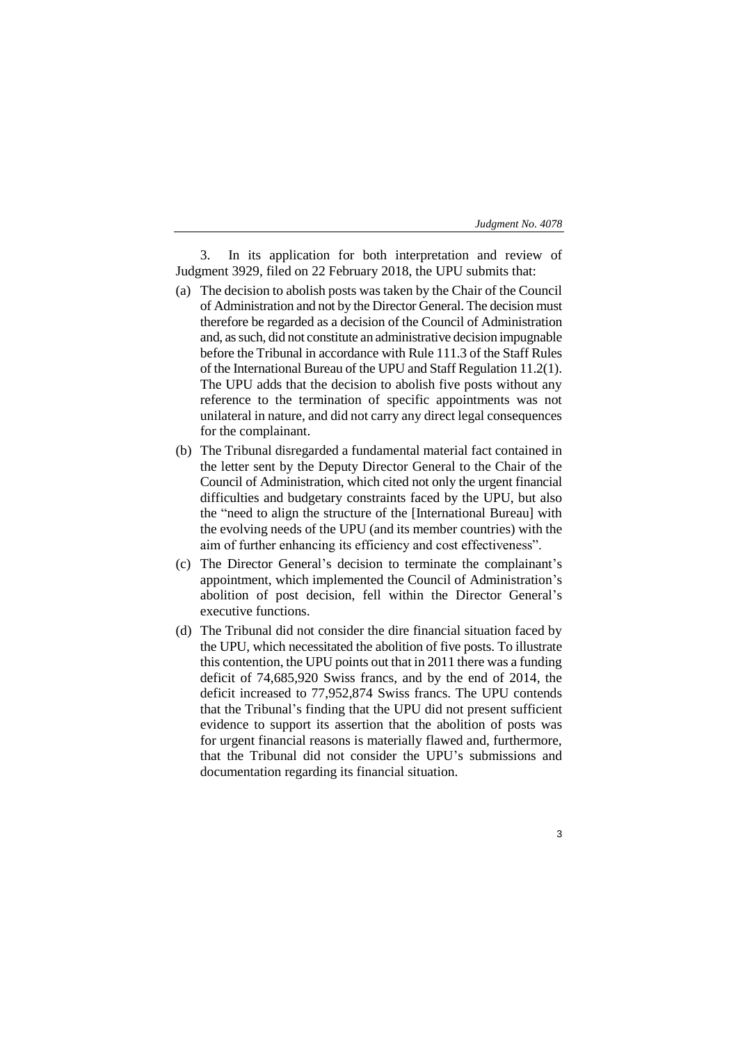3

3. In its application for both interpretation and review of Judgment 3929, filed on 22 February 2018, the UPU submits that:

- (a) The decision to abolish posts was taken by the Chair of the Council of Administration and not by the Director General. The decision must therefore be regarded as a decision of the Council of Administration and, as such, did not constitute an administrative decision impugnable before the Tribunal in accordance with Rule 111.3 of the Staff Rules of the International Bureau of the UPU and Staff Regulation 11.2(1). The UPU adds that the decision to abolish five posts without any reference to the termination of specific appointments was not unilateral in nature, and did not carry any direct legal consequences for the complainant.
- (b) The Tribunal disregarded a fundamental material fact contained in the letter sent by the Deputy Director General to the Chair of the Council of Administration, which cited not only the urgent financial difficulties and budgetary constraints faced by the UPU, but also the "need to align the structure of the [International Bureau] with the evolving needs of the UPU (and its member countries) with the aim of further enhancing its efficiency and cost effectiveness".
- (c) The Director General's decision to terminate the complainant's appointment, which implemented the Council of Administration's abolition of post decision, fell within the Director General's executive functions.
- (d) The Tribunal did not consider the dire financial situation faced by the UPU, which necessitated the abolition of five posts. To illustrate this contention, the UPU points out that in 2011 there was a funding deficit of 74,685,920 Swiss francs, and by the end of 2014, the deficit increased to 77,952,874 Swiss francs. The UPU contends that the Tribunal's finding that the UPU did not present sufficient evidence to support its assertion that the abolition of posts was for urgent financial reasons is materially flawed and, furthermore, that the Tribunal did not consider the UPU's submissions and documentation regarding its financial situation.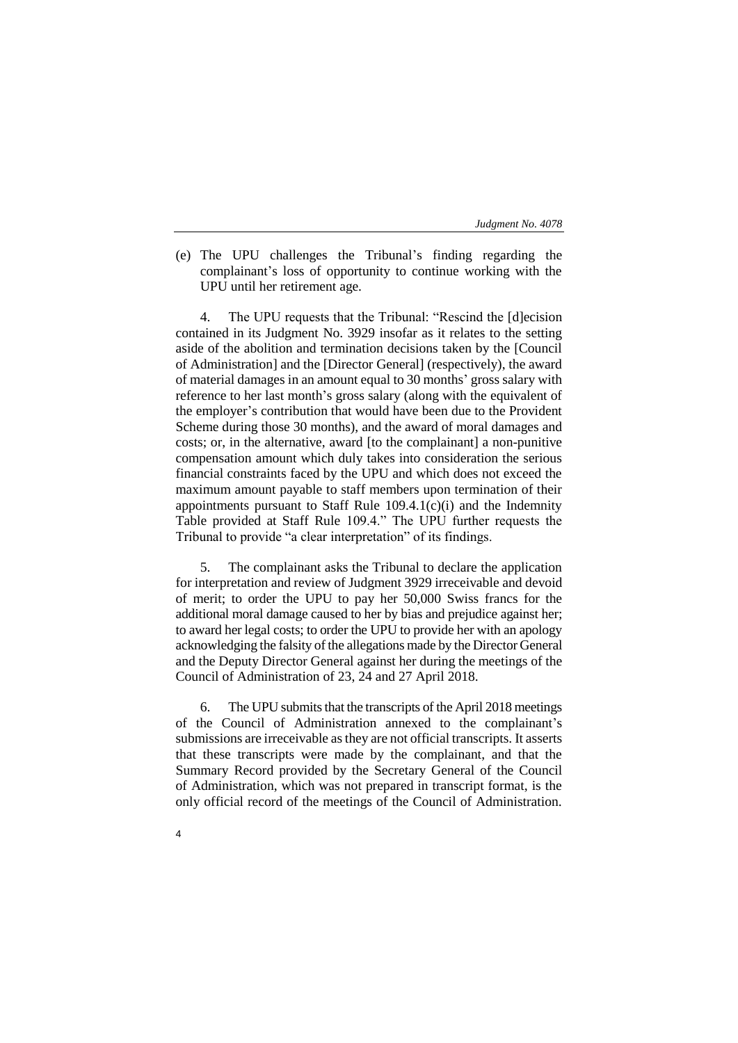(e) The UPU challenges the Tribunal's finding regarding the complainant's loss of opportunity to continue working with the UPU until her retirement age.

4. The UPU requests that the Tribunal: "Rescind the [d]ecision contained in its Judgment No. 3929 insofar as it relates to the setting aside of the abolition and termination decisions taken by the [Council of Administration] and the [Director General] (respectively), the award of material damages in an amount equal to 30 months' gross salary with reference to her last month's gross salary (along with the equivalent of the employer's contribution that would have been due to the Provident Scheme during those 30 months), and the award of moral damages and costs; or, in the alternative, award [to the complainant] a non-punitive compensation amount which duly takes into consideration the serious financial constraints faced by the UPU and which does not exceed the maximum amount payable to staff members upon termination of their appointments pursuant to Staff Rule 109.4.1(c)(i) and the Indemnity Table provided at Staff Rule 109.4." The UPU further requests the Tribunal to provide "a clear interpretation" of its findings.

5. The complainant asks the Tribunal to declare the application for interpretation and review of Judgment 3929 irreceivable and devoid of merit; to order the UPU to pay her 50,000 Swiss francs for the additional moral damage caused to her by bias and prejudice against her; to award her legal costs; to order the UPU to provide her with an apology acknowledging the falsity of the allegations made by the Director General and the Deputy Director General against her during the meetings of the Council of Administration of 23, 24 and 27 April 2018.

6. The UPU submits that the transcripts of the April 2018 meetings of the Council of Administration annexed to the complainant's submissions are irreceivable as they are not official transcripts. It asserts that these transcripts were made by the complainant, and that the Summary Record provided by the Secretary General of the Council of Administration, which was not prepared in transcript format, is the only official record of the meetings of the Council of Administration.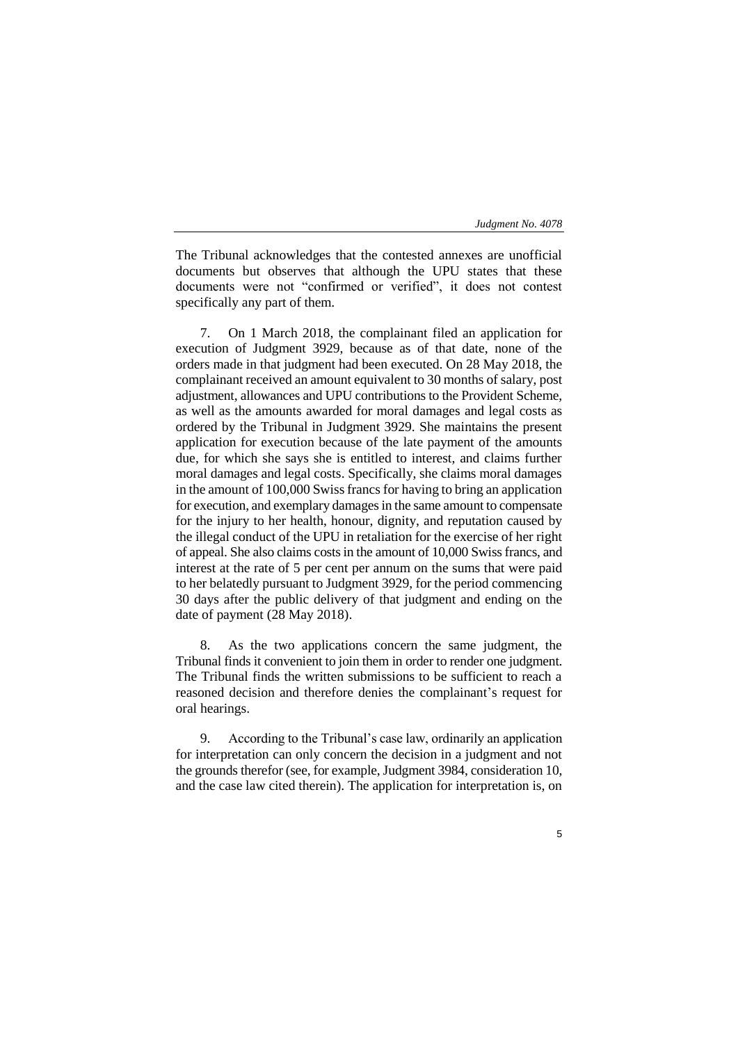The Tribunal acknowledges that the contested annexes are unofficial documents but observes that although the UPU states that these documents were not "confirmed or verified", it does not contest specifically any part of them.

7. On 1 March 2018, the complainant filed an application for execution of Judgment 3929, because as of that date, none of the orders made in that judgment had been executed. On 28 May 2018, the complainant received an amount equivalent to 30 months of salary, post adjustment, allowances and UPU contributions to the Provident Scheme, as well as the amounts awarded for moral damages and legal costs as ordered by the Tribunal in Judgment 3929. She maintains the present application for execution because of the late payment of the amounts due, for which she says she is entitled to interest, and claims further moral damages and legal costs. Specifically, she claims moral damages in the amount of 100,000 Swiss francs for having to bring an application for execution, and exemplary damages in the same amount to compensate for the injury to her health, honour, dignity, and reputation caused by the illegal conduct of the UPU in retaliation for the exercise of her right of appeal. She also claims costs in the amount of 10,000 Swiss francs, and interest at the rate of 5 per cent per annum on the sums that were paid to her belatedly pursuant to Judgment 3929, for the period commencing 30 days after the public delivery of that judgment and ending on the date of payment (28 May 2018).

8. As the two applications concern the same judgment, the Tribunal finds it convenient to join them in order to render one judgment. The Tribunal finds the written submissions to be sufficient to reach a reasoned decision and therefore denies the complainant's request for oral hearings.

9. According to the Tribunal's case law, ordinarily an application for interpretation can only concern the decision in a judgment and not the grounds therefor (see, for example, Judgment 3984, consideration 10, and the case law cited therein). The application for interpretation is, on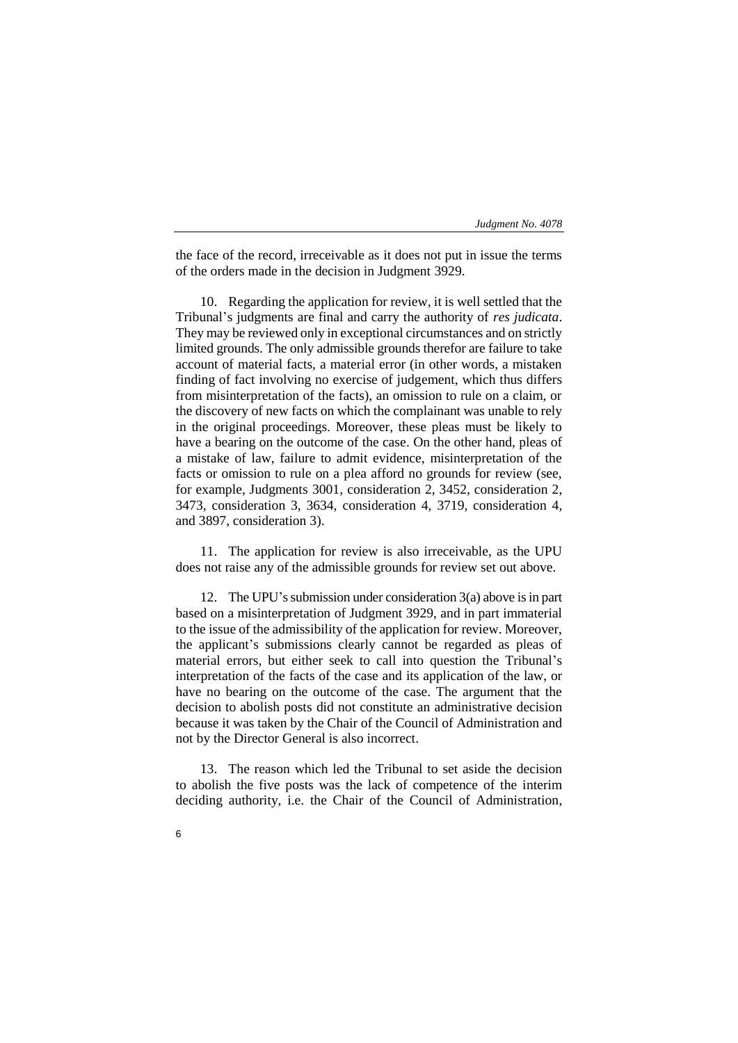the face of the record, irreceivable as it does not put in issue the terms of the orders made in the decision in Judgment 3929.

10. Regarding the application for review, it is well settled that the Tribunal's judgments are final and carry the authority of *res judicata*. They may be reviewed only in exceptional circumstances and on strictly limited grounds. The only admissible grounds therefor are failure to take account of material facts, a material error (in other words, a mistaken finding of fact involving no exercise of judgement, which thus differs from misinterpretation of the facts), an omission to rule on a claim, or the discovery of new facts on which the complainant was unable to rely in the original proceedings. Moreover, these pleas must be likely to have a bearing on the outcome of the case. On the other hand, pleas of a mistake of law, failure to admit evidence, misinterpretation of the facts or omission to rule on a plea afford no grounds for review (see, for example, Judgments 3001, consideration 2, 3452, consideration 2, 3473, consideration 3, 3634, consideration 4, 3719, consideration 4, and 3897, consideration 3).

11. The application for review is also irreceivable, as the UPU does not raise any of the admissible grounds for review set out above.

12. The UPU's submission under consideration 3(a) above is in part based on a misinterpretation of Judgment 3929, and in part immaterial to the issue of the admissibility of the application for review. Moreover, the applicant's submissions clearly cannot be regarded as pleas of material errors, but either seek to call into question the Tribunal's interpretation of the facts of the case and its application of the law, or have no bearing on the outcome of the case. The argument that the decision to abolish posts did not constitute an administrative decision because it was taken by the Chair of the Council of Administration and not by the Director General is also incorrect.

13. The reason which led the Tribunal to set aside the decision to abolish the five posts was the lack of competence of the interim deciding authority, i.e. the Chair of the Council of Administration,

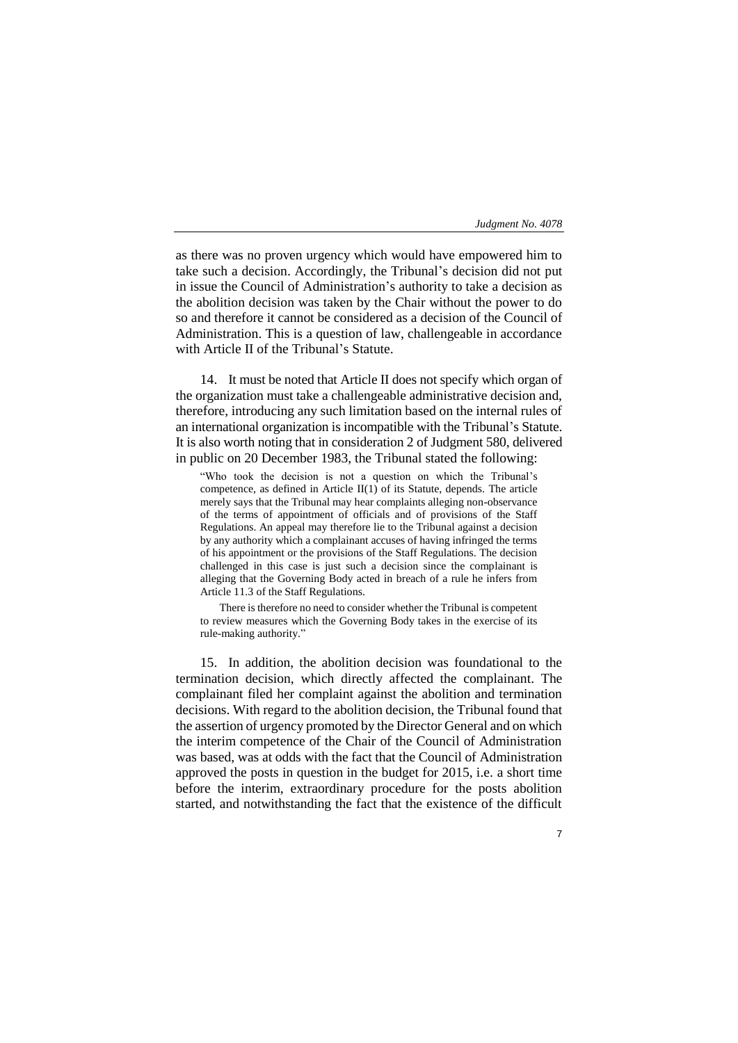7

as there was no proven urgency which would have empowered him to take such a decision. Accordingly, the Tribunal's decision did not put in issue the Council of Administration's authority to take a decision as the abolition decision was taken by the Chair without the power to do so and therefore it cannot be considered as a decision of the Council of Administration. This is a question of law, challengeable in accordance with Article II of the Tribunal's Statute.

14. It must be noted that Article II does not specify which organ of the organization must take a challengeable administrative decision and, therefore, introducing any such limitation based on the internal rules of an international organization is incompatible with the Tribunal's Statute. It is also worth noting that in consideration 2 of Judgment 580, delivered in public on 20 December 1983, the Tribunal stated the following:

"Who took the decision is not a question on which the Tribunal's competence, as defined in Article II(1) of its Statute, depends. The article merely says that the Tribunal may hear complaints alleging non-observance of the terms of appointment of officials and of provisions of the Staff Regulations. An appeal may therefore lie to the Tribunal against a decision by any authority which a complainant accuses of having infringed the terms of his appointment or the provisions of the Staff Regulations. The decision challenged in this case is just such a decision since the complainant is alleging that the Governing Body acted in breach of a rule he infers from Article 11.3 of the Staff Regulations.

There is therefore no need to consider whether the Tribunal is competent to review measures which the Governing Body takes in the exercise of its rule-making authority."

15. In addition, the abolition decision was foundational to the termination decision, which directly affected the complainant. The complainant filed her complaint against the abolition and termination decisions. With regard to the abolition decision, the Tribunal found that the assertion of urgency promoted by the Director General and on which the interim competence of the Chair of the Council of Administration was based, was at odds with the fact that the Council of Administration approved the posts in question in the budget for 2015, i.e. a short time before the interim, extraordinary procedure for the posts abolition started, and notwithstanding the fact that the existence of the difficult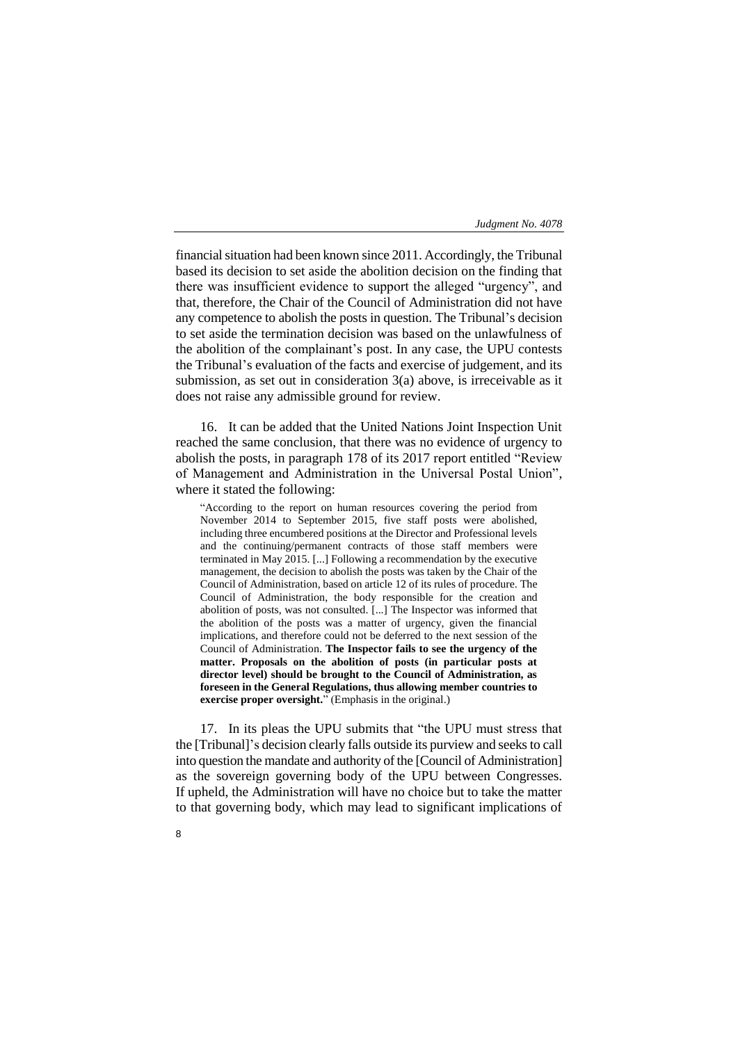financial situation had been known since 2011. Accordingly, the Tribunal based its decision to set aside the abolition decision on the finding that there was insufficient evidence to support the alleged "urgency", and that, therefore, the Chair of the Council of Administration did not have any competence to abolish the posts in question. The Tribunal's decision to set aside the termination decision was based on the unlawfulness of the abolition of the complainant's post. In any case, the UPU contests the Tribunal's evaluation of the facts and exercise of judgement, and its submission, as set out in consideration 3(a) above, is irreceivable as it does not raise any admissible ground for review.

16. It can be added that the United Nations Joint Inspection Unit reached the same conclusion, that there was no evidence of urgency to abolish the posts, in paragraph 178 of its 2017 report entitled "Review of Management and Administration in the Universal Postal Union", where it stated the following:

"According to the report on human resources covering the period from November 2014 to September 2015, five staff posts were abolished, including three encumbered positions at the Director and Professional levels and the continuing/permanent contracts of those staff members were terminated in May 2015. [...] Following a recommendation by the executive management, the decision to abolish the posts was taken by the Chair of the Council of Administration, based on article 12 of its rules of procedure. The Council of Administration, the body responsible for the creation and abolition of posts, was not consulted. [...] The Inspector was informed that the abolition of the posts was a matter of urgency, given the financial implications, and therefore could not be deferred to the next session of the Council of Administration. **The Inspector fails to see the urgency of the matter. Proposals on the abolition of posts (in particular posts at director level) should be brought to the Council of Administration, as foreseen in the General Regulations, thus allowing member countries to exercise proper oversight.**" (Emphasis in the original.)

17. In its pleas the UPU submits that "the UPU must stress that the [Tribunal]'s decision clearly falls outside its purview and seeks to call into question the mandate and authority of the [Council of Administration] as the sovereign governing body of the UPU between Congresses. If upheld, the Administration will have no choice but to take the matter to that governing body, which may lead to significant implications of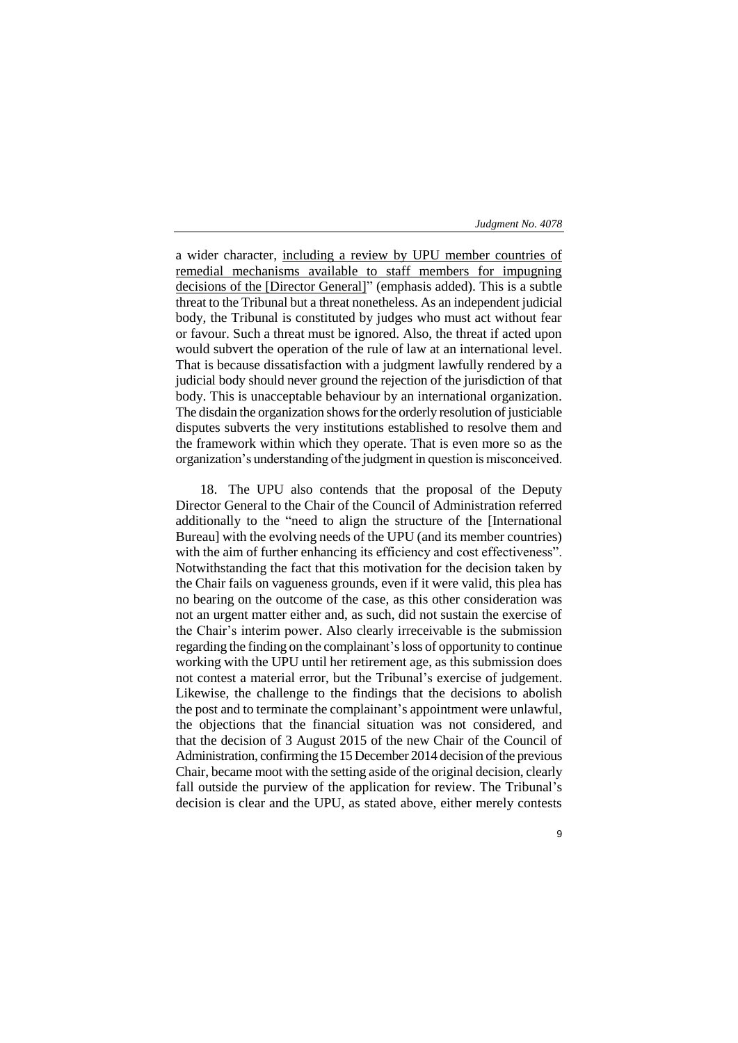9

a wider character, including a review by UPU member countries of remedial mechanisms available to staff members for impugning decisions of the [Director General]" (emphasis added). This is a subtle threat to the Tribunal but a threat nonetheless. As an independent judicial body, the Tribunal is constituted by judges who must act without fear or favour. Such a threat must be ignored. Also, the threat if acted upon would subvert the operation of the rule of law at an international level. That is because dissatisfaction with a judgment lawfully rendered by a judicial body should never ground the rejection of the jurisdiction of that body. This is unacceptable behaviour by an international organization. The disdain the organization shows for the orderly resolution of justiciable disputes subverts the very institutions established to resolve them and the framework within which they operate. That is even more so as the organization's understanding of the judgment in question is misconceived.

18. The UPU also contends that the proposal of the Deputy Director General to the Chair of the Council of Administration referred additionally to the "need to align the structure of the [International Bureau] with the evolving needs of the UPU (and its member countries) with the aim of further enhancing its efficiency and cost effectiveness". Notwithstanding the fact that this motivation for the decision taken by the Chair fails on vagueness grounds, even if it were valid, this plea has no bearing on the outcome of the case, as this other consideration was not an urgent matter either and, as such, did not sustain the exercise of the Chair's interim power. Also clearly irreceivable is the submission regarding the finding on the complainant's loss of opportunity to continue working with the UPU until her retirement age, as this submission does not contest a material error, but the Tribunal's exercise of judgement. Likewise, the challenge to the findings that the decisions to abolish the post and to terminate the complainant's appointment were unlawful, the objections that the financial situation was not considered, and that the decision of 3 August 2015 of the new Chair of the Council of Administration, confirming the 15 December 2014 decision of the previous Chair, became moot with the setting aside of the original decision, clearly fall outside the purview of the application for review. The Tribunal's decision is clear and the UPU, as stated above, either merely contests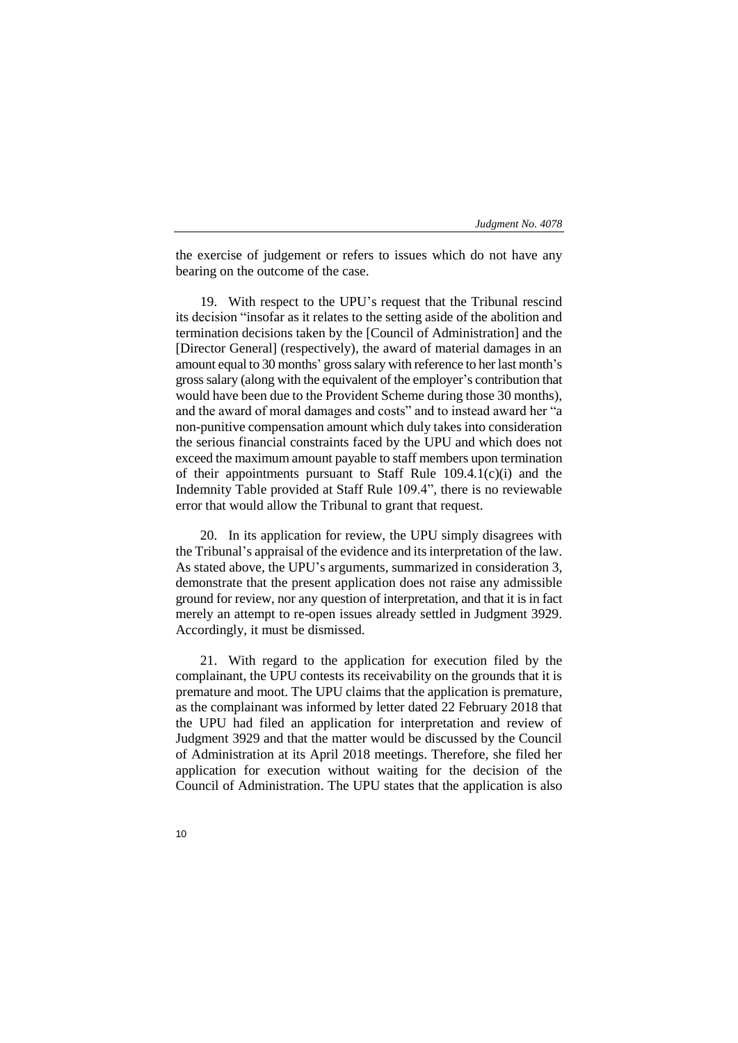the exercise of judgement or refers to issues which do not have any bearing on the outcome of the case.

19. With respect to the UPU's request that the Tribunal rescind its decision "insofar as it relates to the setting aside of the abolition and termination decisions taken by the [Council of Administration] and the [Director General] (respectively), the award of material damages in an amount equal to 30 months' gross salary with reference to her last month's gross salary (along with the equivalent of the employer's contribution that would have been due to the Provident Scheme during those 30 months), and the award of moral damages and costs" and to instead award her "a non-punitive compensation amount which duly takes into consideration the serious financial constraints faced by the UPU and which does not exceed the maximum amount payable to staff members upon termination of their appointments pursuant to Staff Rule 109.4.1(c)(i) and the Indemnity Table provided at Staff Rule 109.4", there is no reviewable error that would allow the Tribunal to grant that request.

20. In its application for review, the UPU simply disagrees with the Tribunal's appraisal of the evidence and its interpretation of the law. As stated above, the UPU's arguments, summarized in consideration 3, demonstrate that the present application does not raise any admissible ground for review, nor any question of interpretation, and that it is in fact merely an attempt to re-open issues already settled in Judgment 3929. Accordingly, it must be dismissed.

21. With regard to the application for execution filed by the complainant, the UPU contests its receivability on the grounds that it is premature and moot. The UPU claims that the application is premature, as the complainant was informed by letter dated 22 February 2018 that the UPU had filed an application for interpretation and review of Judgment 3929 and that the matter would be discussed by the Council of Administration at its April 2018 meetings. Therefore, she filed her application for execution without waiting for the decision of the Council of Administration. The UPU states that the application is also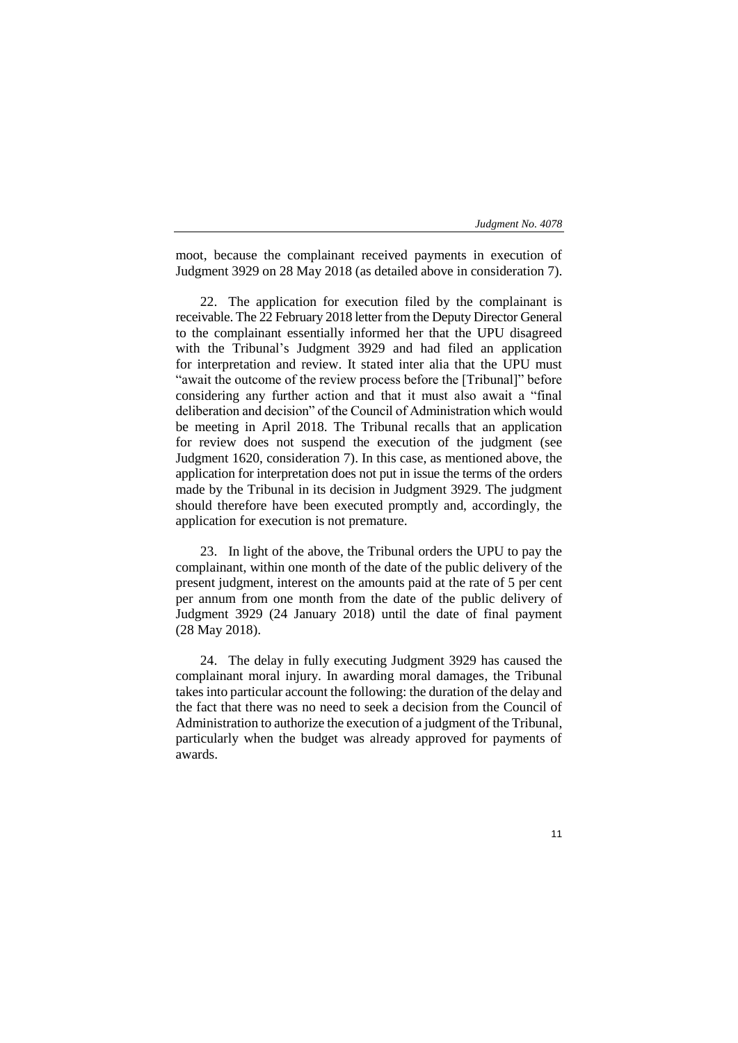11

moot, because the complainant received payments in execution of Judgment 3929 on 28 May 2018 (as detailed above in consideration 7).

22. The application for execution filed by the complainant is receivable. The 22 February 2018 letter from the Deputy Director General to the complainant essentially informed her that the UPU disagreed with the Tribunal's Judgment 3929 and had filed an application for interpretation and review. It stated inter alia that the UPU must "await the outcome of the review process before the [Tribunal]" before considering any further action and that it must also await a "final deliberation and decision" of the Council of Administration which would be meeting in April 2018. The Tribunal recalls that an application for review does not suspend the execution of the judgment (see Judgment 1620, consideration 7). In this case, as mentioned above, the application for interpretation does not put in issue the terms of the orders made by the Tribunal in its decision in Judgment 3929. The judgment should therefore have been executed promptly and, accordingly, the application for execution is not premature.

23. In light of the above, the Tribunal orders the UPU to pay the complainant, within one month of the date of the public delivery of the present judgment, interest on the amounts paid at the rate of 5 per cent per annum from one month from the date of the public delivery of Judgment 3929 (24 January 2018) until the date of final payment (28 May 2018).

24. The delay in fully executing Judgment 3929 has caused the complainant moral injury. In awarding moral damages, the Tribunal takes into particular account the following: the duration of the delay and the fact that there was no need to seek a decision from the Council of Administration to authorize the execution of a judgment of the Tribunal, particularly when the budget was already approved for payments of awards.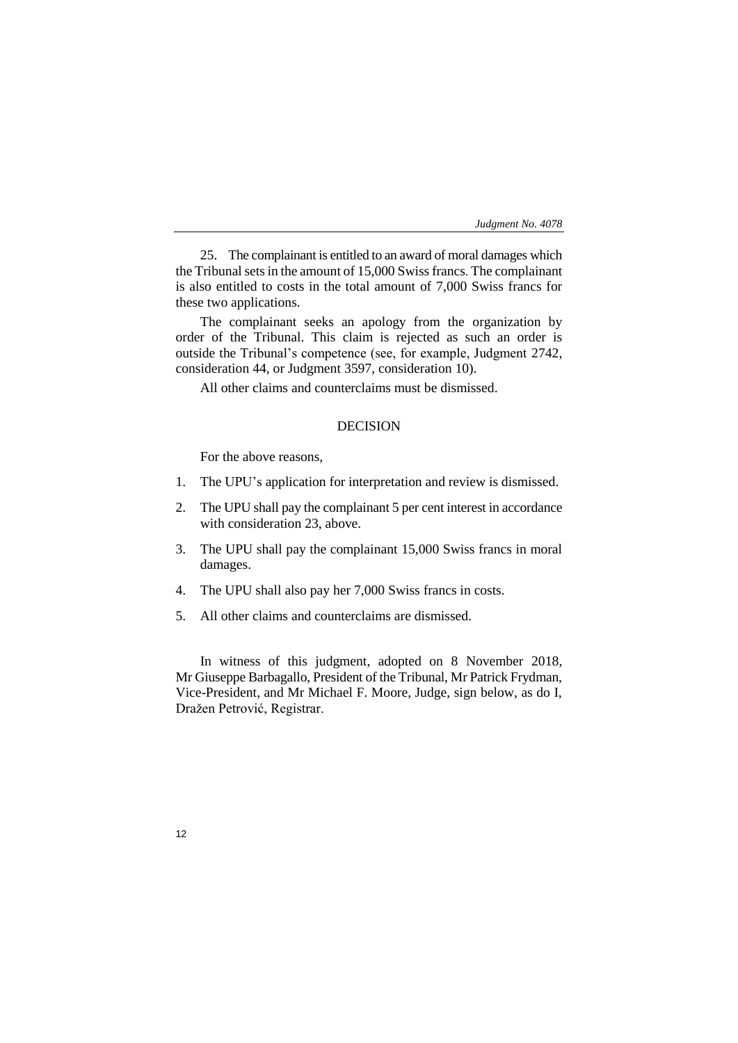25. The complainant is entitled to an award of moral damages which the Tribunal sets in the amount of 15,000 Swiss francs. The complainant is also entitled to costs in the total amount of 7,000 Swiss francs for these two applications.

The complainant seeks an apology from the organization by order of the Tribunal. This claim is rejected as such an order is outside the Tribunal's competence (see, for example, Judgment 2742, consideration 44, or Judgment 3597, consideration 10).

All other claims and counterclaims must be dismissed.

# DECISION

For the above reasons,

- 1. The UPU's application for interpretation and review is dismissed.
- 2. The UPU shall pay the complainant 5 per cent interest in accordance with consideration 23, above.
- 3. The UPU shall pay the complainant 15,000 Swiss francs in moral damages.
- 4. The UPU shall also pay her 7,000 Swiss francs in costs.
- 5. All other claims and counterclaims are dismissed.

In witness of this judgment, adopted on 8 November 2018, Mr Giuseppe Barbagallo, President of the Tribunal, Mr Patrick Frydman, Vice-President, and Mr Michael F. Moore, Judge, sign below, as do I, Dražen Petrović, Registrar.